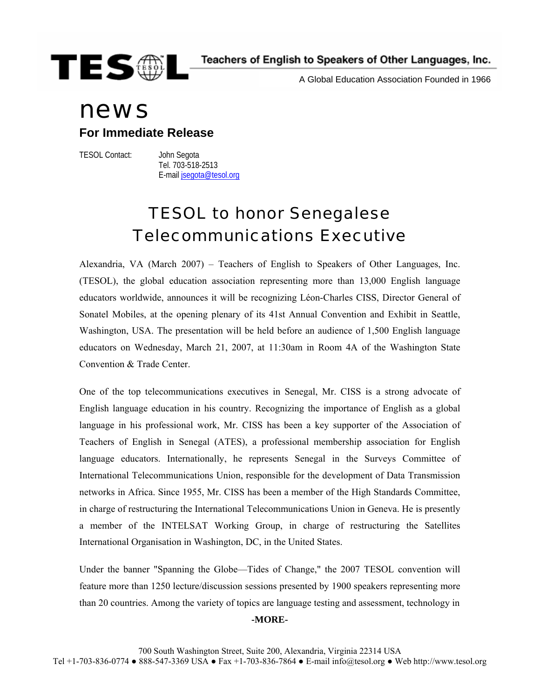

A Global Education Association Founded in 1966

# news

### **For Immediate Release**

TESOL Contact: John Segota

 Tel. 703-518-2513 E-mail [jsegota@tesol.org](mailto:jsegota@tesol.org)

## TESOL to honor Senegalese Telecommunications Executive

Alexandria, VA (March 2007) – Teachers of English to Speakers of Other Languages, Inc. (TESOL), the global education association representing more than 13,000 English language educators worldwide, announces it will be recognizing Léon-Charles CISS, Director General of Sonatel Mobiles, at the opening plenary of its 41st Annual Convention and Exhibit in Seattle, Washington, USA. The presentation will be held before an audience of 1,500 English language educators on Wednesday, March 21, 2007, at 11:30am in Room 4A of the Washington State Convention & Trade Center.

One of the top telecommunications executives in Senegal, Mr. CISS is a strong advocate of English language education in his country. Recognizing the importance of English as a global language in his professional work, Mr. CISS has been a key supporter of the Association of Teachers of English in Senegal (ATES), a professional membership association for English language educators. Internationally, he represents Senegal in the Surveys Committee of International Telecommunications Union, responsible for the development of Data Transmission networks in Africa. Since 1955, Mr. CISS has been a member of the High Standards Committee, in charge of restructuring the International Telecommunications Union in Geneva. He is presently a member of the INTELSAT Working Group, in charge of restructuring the Satellites International Organisation in Washington, DC, in the United States.

Under the banner "Spanning the Globe—Tides of Change," the 2007 TESOL convention will feature more than 1250 lecture/discussion sessions presented by 1900 speakers representing more than 20 countries. Among the variety of topics are language testing and assessment, technology in **-MORE-**